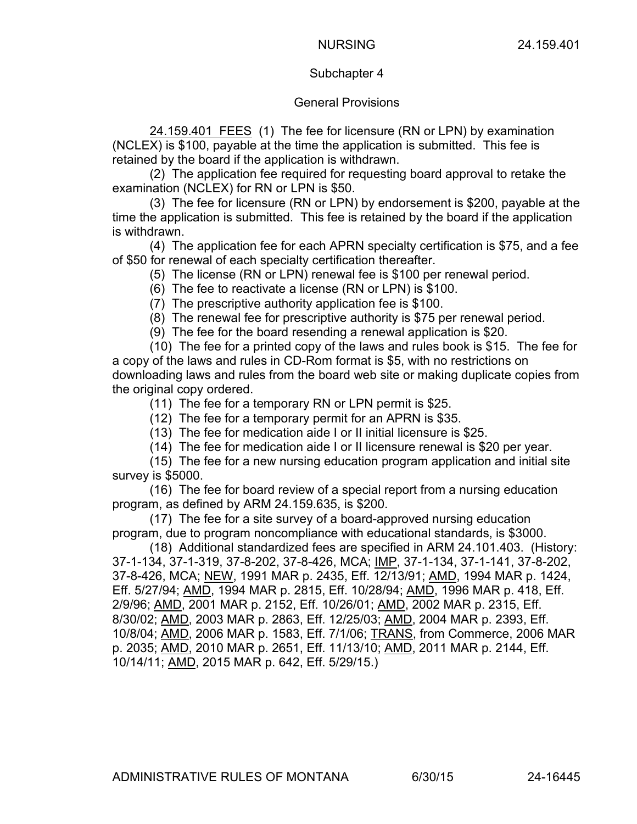## Subchapter 4

## General Provisions

24.159.401 FEES (1) The fee for licensure (RN or LPN) by examination (NCLEX) is \$100, payable at the time the application is submitted. This fee is retained by the board if the application is withdrawn.

(2) The application fee required for requesting board approval to retake the examination (NCLEX) for RN or LPN is \$50.

(3) The fee for licensure (RN or LPN) by endorsement is \$200, payable at the time the application is submitted. This fee is retained by the board if the application is withdrawn.

(4) The application fee for each APRN specialty certification is \$75, and a fee of \$50 for renewal of each specialty certification thereafter.

(5) The license (RN or LPN) renewal fee is \$100 per renewal period.

(6) The fee to reactivate a license (RN or LPN) is \$100.

(7) The prescriptive authority application fee is \$100.

(8) The renewal fee for prescriptive authority is \$75 per renewal period.

(9) The fee for the board resending a renewal application is \$20.

(10) The fee for a printed copy of the laws and rules book is \$15. The fee for a copy of the laws and rules in CD-Rom format is \$5, with no restrictions on downloading laws and rules from the board web site or making duplicate copies from the original copy ordered.

(11) The fee for a temporary RN or LPN permit is \$25.

(12) The fee for a temporary permit for an APRN is \$35.

(13) The fee for medication aide I or II initial licensure is \$25.

(14) The fee for medication aide I or II licensure renewal is \$20 per year.

(15) The fee for a new nursing education program application and initial site survey is \$5000.

(16) The fee for board review of a special report from a nursing education program, as defined by ARM 24.159.635, is \$200.

(17) The fee for a site survey of a board-approved nursing education program, due to program noncompliance with educational standards, is \$3000.

(18) Additional standardized fees are specified in ARM 24.101.403. (History: 37-1-134, 37-1-319, 37-8-202, 37-8-426, MCA; IMP, 37-1-134, 37-1-141, 37-8-202, 37-8-426, MCA; NEW, 1991 MAR p. 2435, Eff. 12/13/91; AMD, 1994 MAR p. 1424, Eff. 5/27/94; AMD, 1994 MAR p. 2815, Eff. 10/28/94; AMD, 1996 MAR p. 418, Eff. 2/9/96; AMD, 2001 MAR p. 2152, Eff. 10/26/01; AMD, 2002 MAR p. 2315, Eff. 8/30/02; AMD, 2003 MAR p. 2863, Eff. 12/25/03; AMD, 2004 MAR p. 2393, Eff. 10/8/04; AMD, 2006 MAR p. 1583, Eff. 7/1/06; TRANS, from Commerce, 2006 MAR p. 2035; AMD, 2010 MAR p. 2651, Eff. 11/13/10; AMD, 2011 MAR p. 2144, Eff. 10/14/11; AMD, 2015 MAR p. 642, Eff. 5/29/15.)